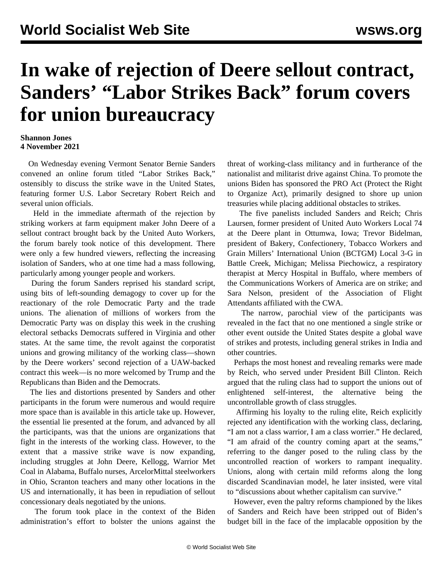## **In wake of rejection of Deere sellout contract, Sanders' "Labor Strikes Back" forum covers for union bureaucracy**

## **Shannon Jones 4 November 2021**

 On Wednesday evening Vermont Senator Bernie Sanders convened an online forum titled "Labor Strikes Back," ostensibly to discuss the strike wave in the United States, featuring former U.S. Labor Secretary Robert Reich and several union officials.

 Held in the immediate aftermath of the rejection by striking workers at farm equipment maker John Deere of a sellout contract brought back by the United Auto Workers, the forum barely took notice of this development. There were only a few hundred viewers, reflecting the increasing isolation of Sanders, who at one time had a mass following, particularly among younger people and workers.

 During the forum Sanders reprised his standard script, using bits of left-sounding demagogy to cover up for the reactionary of the role Democratic Party and the trade unions. The alienation of millions of workers from the Democratic Party was on display this week in the crushing electoral setbacks Democrats suffered in Virginia and other states. At the same time, the revolt against the corporatist unions and growing militancy of the working class—shown by the Deere workers' second rejection of a UAW-backed contract this week—is no more welcomed by Trump and the Republicans than Biden and the Democrats.

 The lies and distortions presented by Sanders and other participants in the forum were numerous and would require more space than is available in this article take up. However, the essential lie presented at the forum, and advanced by all the participants, was that the unions are organizations that fight in the interests of the working class. However, to the extent that a massive strike wave is now expanding, including struggles at John Deere, Kellogg, Warrior Met Coal in Alabama, Buffalo nurses, ArcelorMittal steelworkers in Ohio, Scranton teachers and many other locations in the US and internationally, it has been in repudiation of sellout concessionary deals negotiated by the unions.

 The forum took place in the context of the Biden administration's effort to bolster the unions against the threat of working-class militancy and in furtherance of the nationalist and militarist drive against China. To promote the unions Biden has sponsored the PRO Act (Protect the Right to Organize Act), primarily designed to shore up union treasuries while placing additional obstacles to strikes.

 The five panelists included Sanders and Reich; Chris Laursen, former president of United Auto Workers Local 74 at the Deere plant in Ottumwa, Iowa; Trevor Bidelman, president of Bakery, Confectionery, Tobacco Workers and Grain Millers' International Union (BCTGM) Local 3-G in Battle Creek, Michigan; Melissa Piechowicz, a respiratory therapist at Mercy Hospital in Buffalo, where members of the Communications Workers of America are on strike; and Sara Nelson, president of the Association of Flight Attendants affiliated with the CWA.

 The narrow, parochial view of the participants was revealed in the fact that no one mentioned a single strike or other event outside the United States despite a global wave of strikes and protests, including general strikes in India and other countries.

 Perhaps the most honest and revealing remarks were made by Reich, who served under President Bill Clinton. Reich argued that the ruling class had to support the unions out of enlightened self-interest, the alternative being the uncontrollable growth of class struggles.

 Affirming his loyalty to the ruling elite, Reich explicitly rejected any identification with the working class, declaring, "I am not a class warrior, I am a class worrier." He declared, "I am afraid of the country coming apart at the seams," referring to the danger posed to the ruling class by the uncontrolled reaction of workers to rampant inequality. Unions, along with certain mild reforms along the long discarded Scandinavian model, he later insisted, were vital to "discussions about whether capitalism can survive."

 However, even the paltry reforms championed by the likes of Sanders and Reich have been stripped out of Biden's budget bill in the face of the implacable opposition by the